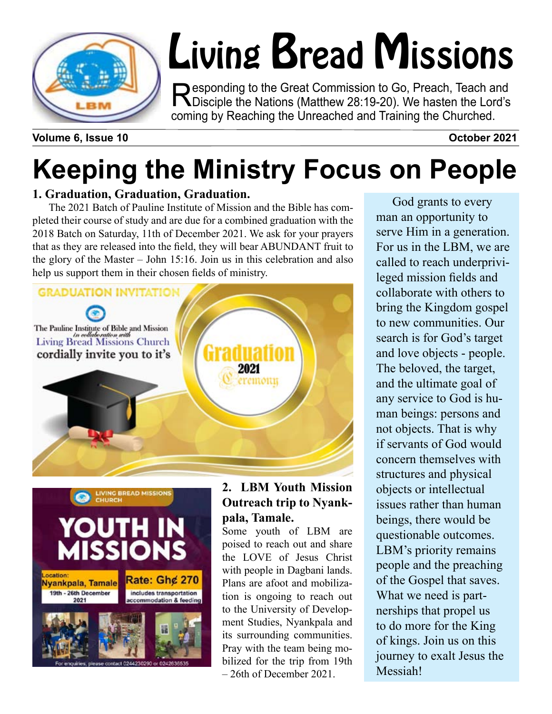

# Living Bread Missions

Responding to the Great Commission to Go, Preach, Teach and<br>
Disciple the Nations (Matthew 28:19-20). We hasten the Lord's coming by Reaching the Unreached and Training the Churched.

**Volume 6, Issue 10** October 2021

# **Keeping the Ministry Focus on People**

#### **1. Graduation, Graduation, Graduation.**

The 2021 Batch of Pauline Institute of Mission and the Bible has completed their course of study and are due for a combined graduation with the 2018 Batch on Saturday, 11th of December 2021. We ask for your prayers that as they are released into the field, they will bear ABUNDANT fruit to the glory of the Master – John 15:16. Join us in this celebration and also help us support them in their chosen fields of ministry.





#### **2. LBM Youth Mission Outreach trip to Nyankpala, Tamale.**

Some youth of LBM are poised to reach out and share the LOVE of Jesus Christ with people in Dagbani lands. Plans are afoot and mobilization is ongoing to reach out to the University of Development Studies, Nyankpala and its surrounding communities. Pray with the team being mobilized for the trip from 19th – 26th of December 2021.

God grants to every man an opportunity to serve Him in a generation. For us in the LBM, we are called to reach underprivileged mission fields and collaborate with others to bring the Kingdom gospel to new communities. Our search is for God's target and love objects - people. The beloved, the target, and the ultimate goal of any service to God is human beings: persons and not objects. That is why if servants of God would concern themselves with structures and physical objects or intellectual issues rather than human beings, there would be questionable outcomes. LBM's priority remains people and the preaching of the Gospel that saves. What we need is partnerships that propel us to do more for the King of kings. Join us on this journey to exalt Jesus the Messiah!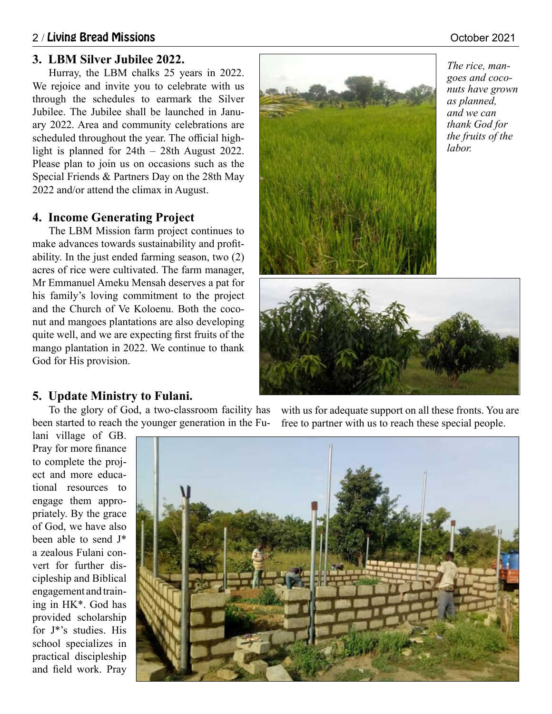#### 2 / Living Bread Missions October 2021

#### **3. LBM Silver Jubilee 2022.**

Hurray, the LBM chalks 25 years in 2022. We rejoice and invite you to celebrate with us through the schedules to earmark the Silver Jubilee. The Jubilee shall be launched in January 2022. Area and community celebrations are scheduled throughout the year. The official highlight is planned for 24th – 28th August 2022. Please plan to join us on occasions such as the Special Friends & Partners Day on the 28th May 2022 and/or attend the climax in August.

#### **4. Income Generating Project**

The LBM Mission farm project continues to make advances towards sustainability and profitability. In the just ended farming season, two (2) acres of rice were cultivated. The farm manager, Mr Emmanuel Ameku Mensah deserves a pat for his family's loving commitment to the project and the Church of Ve Koloenu. Both the coconut and mangoes plantations are also developing quite well, and we are expecting first fruits of the mango plantation in 2022. We continue to thank God for His provision.



*The rice, mangoes and coconuts have grown as planned, and we can thank God for the fruits of the labor.*



#### **5. Update Ministry to Fulani.**

To the glory of God, a two-classroom facility has been started to reach the younger generation in the Fu-

with us for adequate support on all these fronts. You are free to partner with us to reach these special people.

lani village of GB. Pray for more finance to complete the project and more educational resources to engage them appropriately. By the grace of God, we have also been able to send J\* a zealous Fulani convert for further discipleship and Biblical engagement and training in HK\*. God has provided scholarship for J\*'s studies. His school specializes in practical discipleship and field work. Pray